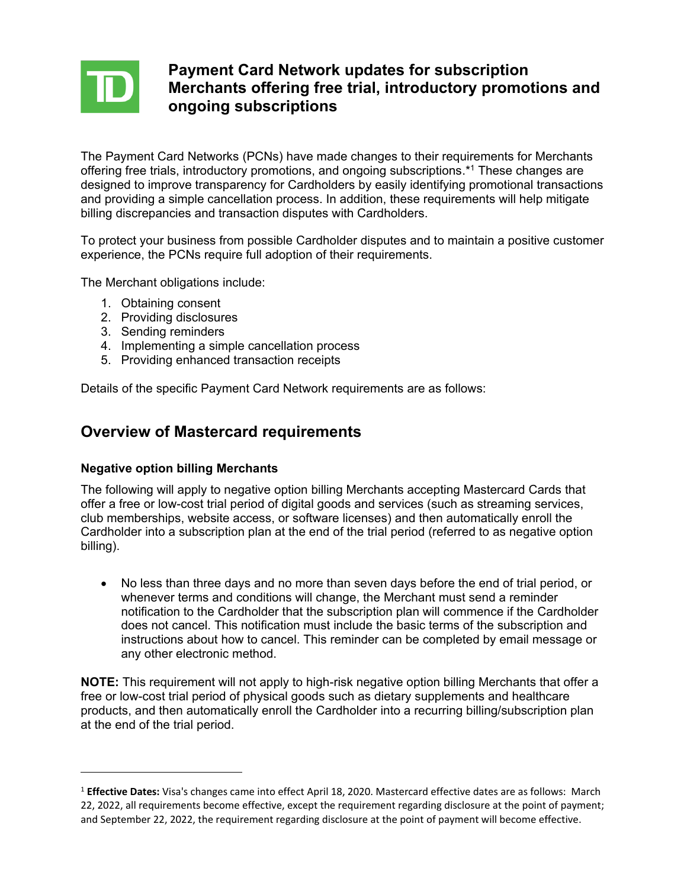

## **Payment Card Network updates for subscription Merchants offering free trial, introductory promotions and ongoing subscriptions**

The Payment Card Networks (PCNs) have made changes to their requirements for Merchants offering free trials, introductory promotions, and ongoing subscriptions.\* <sup>1</sup> These changes are designed to improve transparency for Cardholders by easily identifying promotional transactions and providing a simple cancellation process. In addition, these requirements will help mitigate billing discrepancies and transaction disputes with Cardholders.

To protect your business from possible Cardholder disputes and to maintain a positive customer experience, the PCNs require full adoption of their requirements.

The Merchant obligations include:

- 1. Obtaining consent
- 2. Providing disclosures
- 3. Sending reminders
- 4. Implementing a simple cancellation process
- 5. Providing enhanced transaction receipts

Details of the specific Payment Card Network requirements are as follows:

### **Overview of Mastercard requirements**

#### **Negative option billing Merchants**

The following will apply to negative option billing Merchants accepting Mastercard Cards that offer a free or low-cost trial period of digital goods and services (such as streaming services, club memberships, website access, or software licenses) and then automatically enroll the Cardholder into a subscription plan at the end of the trial period (referred to as negative option billing).

• No less than three days and no more than seven days before the end of trial period, or whenever terms and conditions will change, the Merchant must send a reminder notification to the Cardholder that the subscription plan will commence if the Cardholder does not cancel. This notification must include the basic terms of the subscription and instructions about how to cancel. This reminder can be completed by email message or any other electronic method.

**NOTE:** This requirement will not apply to high-risk negative option billing Merchants that offer a free or low-cost trial period of physical goods such as dietary supplements and healthcare products, and then automatically enroll the Cardholder into a recurring billing/subscription plan at the end of the trial period.

<sup>1</sup> **Effective Dates:** Visa's changes came into effect April 18, 2020. Mastercard effective dates are as follows: March 22, 2022, all requirements become effective, except the requirement regarding disclosure at the point of payment; and September 22, 2022, the requirement regarding disclosure at the point of payment will become effective.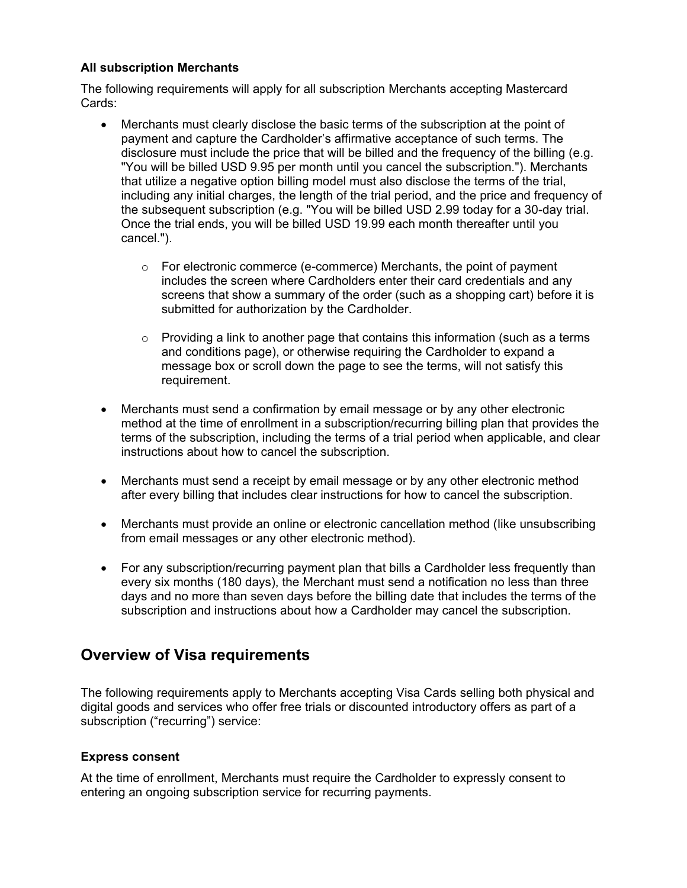#### **All subscription Merchants**

The following requirements will apply for all subscription Merchants accepting Mastercard Cards:

- Merchants must clearly disclose the basic terms of the subscription at the point of payment and capture the Cardholder's affirmative acceptance of such terms. The disclosure must include the price that will be billed and the frequency of the billing (e.g. "You will be billed USD 9.95 per month until you cancel the subscription."). Merchants that utilize a negative option billing model must also disclose the terms of the trial, including any initial charges, the length of the trial period, and the price and frequency of the subsequent subscription (e.g. "You will be billed USD 2.99 today for a 30-day trial. Once the trial ends, you will be billed USD 19.99 each month thereafter until you cancel.").
	- $\circ$  For electronic commerce (e-commerce) Merchants, the point of payment includes the screen where Cardholders enter their card credentials and any screens that show a summary of the order (such as a shopping cart) before it is submitted for authorization by the Cardholder.
	- $\circ$  Providing a link to another page that contains this information (such as a terms and conditions page), or otherwise requiring the Cardholder to expand a message box or scroll down the page to see the terms, will not satisfy this requirement.
- Merchants must send a confirmation by email message or by any other electronic method at the time of enrollment in a subscription/recurring billing plan that provides the terms of the subscription, including the terms of a trial period when applicable, and clear instructions about how to cancel the subscription.
- Merchants must send a receipt by email message or by any other electronic method after every billing that includes clear instructions for how to cancel the subscription.
- Merchants must provide an online or electronic cancellation method (like unsubscribing from email messages or any other electronic method).
- For any subscription/recurring payment plan that bills a Cardholder less frequently than every six months (180 days), the Merchant must send a notification no less than three days and no more than seven days before the billing date that includes the terms of the subscription and instructions about how a Cardholder may cancel the subscription.

# **Overview of Visa requirements**

The following requirements apply to Merchants accepting Visa Cards selling both physical and digital goods and services who offer free trials or discounted introductory offers as part of a subscription ("recurring") service:

#### **Express consent**

At the time of enrollment, Merchants must require the Cardholder to expressly consent to entering an ongoing subscription service for recurring payments.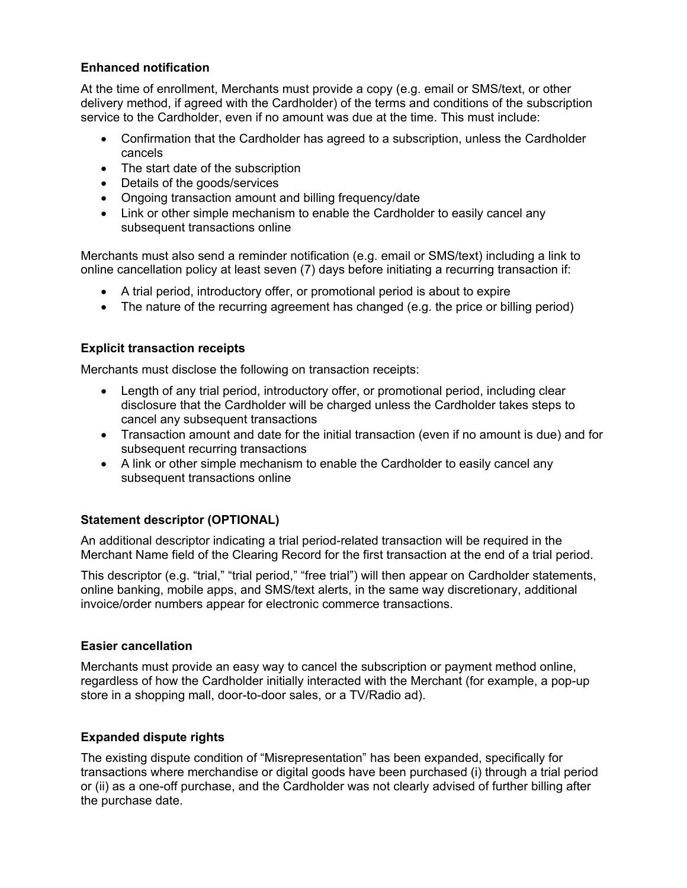### **Enhanced notification**

At the time of enrollment, Merchants must provide a copy (e.g. email or SMS/text, or other delivery method, if agreed with the Cardholder) of the terms and conditions of the subscription service to the Cardholder, even if no amount was due at the time. This must include:

- Confirmation that the Cardholder has agreed to a subscription, unless the Cardholder cancels
- The start date of the subscription
- Details of the goods/services
- Ongoing transaction amount and billing frequency/date
- Link or other simple mechanism to enable the Cardholder to easily cancel any subsequent transactions online

Merchants must also send a reminder notification (e.g. email or SMS/text) including a link to online cancellation policy at least seven (7) days before initiating a recurring transaction if:

- A trial period, introductory offer, or promotional period is about to expire
- The nature of the recurring agreement has changed (e.g. the price or billing period)

### **Explicit transaction receipts**

Merchants must disclose the following on transaction receipts:

- Length of any trial period, introductory offer, or promotional period, including clear disclosure that the Cardholder will be charged unless the Cardholder takes steps to cancel any subsequent transactions
- Transaction amount and date for the initial transaction (even if no amount is due) and for subsequent recurring transactions
- A link or other simple mechanism to enable the Cardholder to easily cancel any subsequent transactions online

#### **Statement descriptor (OPTIONAL)**

An additional descriptor indicating a trial period-related transaction will be required in the Merchant Name field of the Clearing Record for the first transaction at the end of a trial period.

This descriptor (e.g. "trial," "trial period," "free trial") will then appear on Cardholder statements, online banking, mobile apps, and SMS/text alerts, in the same way discretionary, additional invoice/order numbers appear for electronic commerce transactions.

#### **Easier cancellation**

Merchants must provide an easy way to cancel the subscription or payment method online, regardless of how the Cardholder initially interacted with the Merchant (for example, a pop-up store in a shopping mall, door-to-door sales, or a TV/Radio ad).

#### **Expanded dispute rights**

The existing dispute condition of "Misrepresentation" has been expanded, specifically for transactions where merchandise or digital goods have been purchased (i) through a trial period or (ii) as a one-off purchase, and the Cardholder was not clearly advised of further billing after the purchase date.